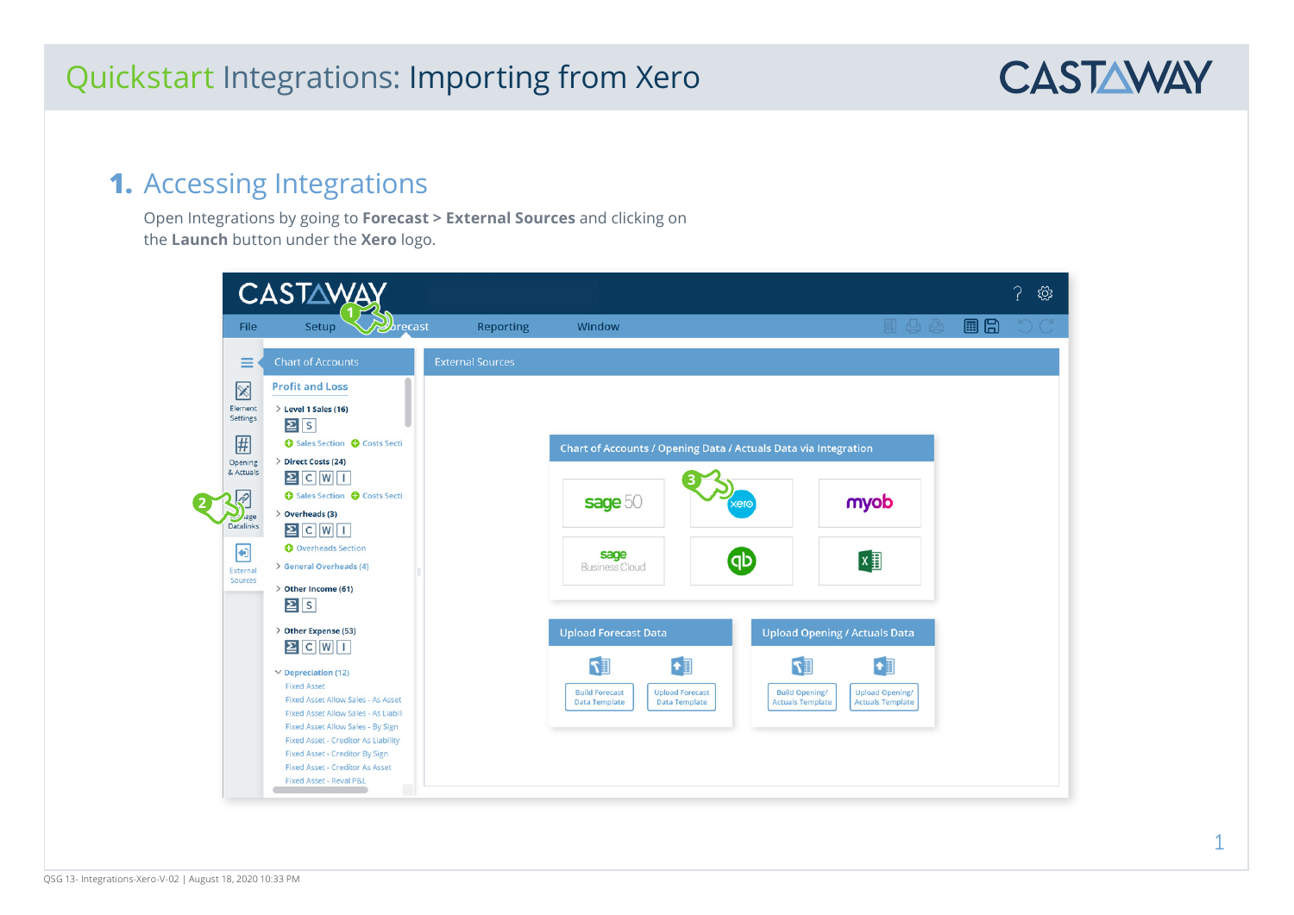

## **1.** Accessing Integrations

Open Integrations by going to **Forecast > External Sources** and clicking on the **Launch** button under the **Xero** logo.

|                                                                               | <b>CASTAWA</b>                                                                                                                                                                                                                                                                                                                                                                                           |                         |                                                                                              |                                                                 |                                                                                                                                                                           | छु |
|-------------------------------------------------------------------------------|----------------------------------------------------------------------------------------------------------------------------------------------------------------------------------------------------------------------------------------------------------------------------------------------------------------------------------------------------------------------------------------------------------|-------------------------|----------------------------------------------------------------------------------------------|-----------------------------------------------------------------|---------------------------------------------------------------------------------------------------------------------------------------------------------------------------|----|
| <b>File</b>                                                                   | Setup<br><b>Abrecast</b>                                                                                                                                                                                                                                                                                                                                                                                 | <b>Reporting</b>        | Window                                                                                       |                                                                 | B (B) (B)                                                                                                                                                                 | 目日 |
| ≡<br>$\boxtimes$<br>Element<br>Settings<br>用<br>Opening                       | <b>Chart of Accounts</b><br><b>Profit and Loss</b><br>$\ge$ Level 1 Sales (16)<br>2s<br>Sales Section @ Costs Secti<br>> Direct Costs (24)                                                                                                                                                                                                                                                               | <b>External Sources</b> |                                                                                              | Chart of Accounts / Opening Data / Actuals Data via Integration |                                                                                                                                                                           |    |
| & Actuals<br><u>ূ</u><br>Jage<br><b>Datalinks</b><br>Đ<br>External<br>Sources | $2$ C W I<br>Sales Section C Costs Secti<br>$\geq$ Overheads (3)<br>$\Xi$ C W $\Box$<br><b>O</b> Overheads Section<br>> General Overheads (4)<br>> Other Income (61)<br>$\Sigma$ $S$                                                                                                                                                                                                                     |                         | sage 50<br>sage<br><b>Business Cloud</b>                                                     | (dp                                                             | myob<br>$x \overline{y}$                                                                                                                                                  |    |
|                                                                               | > Other Expense (53)<br>$\boxed{2}$ $\boxed{C}$ $\boxed{W}$ $\boxed{I}$<br>$\vee$ Depreciation (12)<br><b>Fixed Asset</b><br><b>Fixed Asset Allow Sales - As Asset</b><br>Fixed Asset Allow Sales - As Liabili<br>Fixed Asset Allow Sales - By Sign<br><b>Fixed Asset - Creditor As Liability</b><br>Fixed Asset - Creditor By Sign<br><b>Fixed Asset - Creditor As Asset</b><br>Fixed Asset - Reval P&L |                         | <b>Upload Forecast Data</b><br>$\mathbb{F}$<br><b>Build Forecast</b><br><b>Data Template</b> | <b>Upload Forecast</b><br><b>Data Template</b>                  | <b>Upload Opening / Actuals Data</b><br>$\mathbb{E} \mathcal{T}$<br><b>Build Opening/</b><br><b>Upload Opening/</b><br><b>Actuals Template</b><br><b>Actuals Template</b> |    |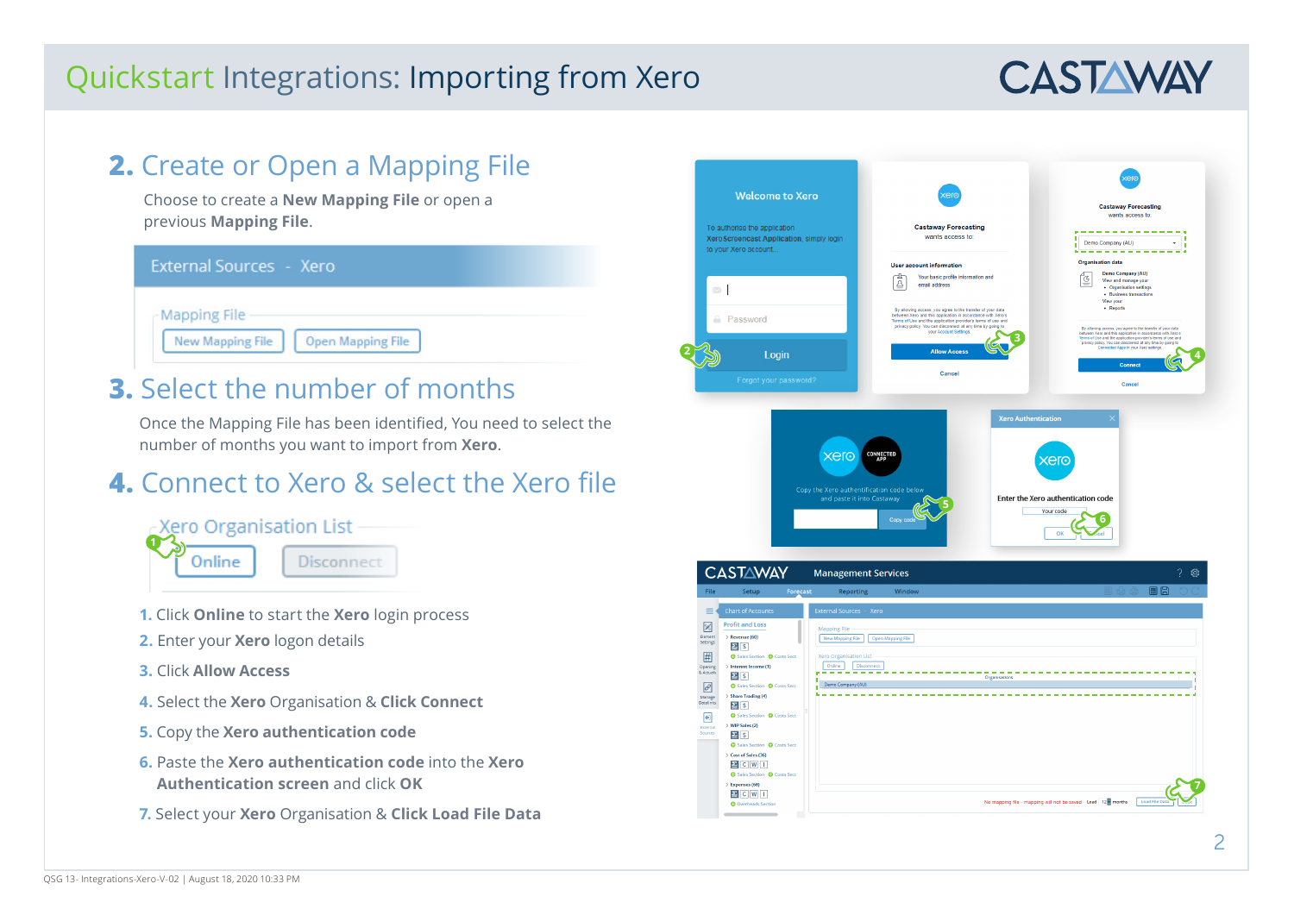# **CASTAWAY**

#### **2.** Create or Open a Mapping File Choose to create a **New Mapping File** or open a previous **Mapping File**. External Sources - Xero **Mapping File New Mapping File Open Mapping File 3.** Select the number of months Once the Mapping File has been identified, You need to select the number of months you want to import from **Xero**. **4.** Connect to Xero & select the Xero file -Xero Organisation List **1**Online **Disconnect 1.** Click **Online** to start the **Xero** login process **2.** Enter your **Xero** logon details **3.** Click **Allow Access 4.** Select the **Xero** Organisation & **Click Connect 5.** Copy the **Xero authentication code 6.** Paste the **Xero authentication code** into the **Xero Authentication screen** and click **OK 7.** Select your **Xero** Organisation & **Click Load File Data**

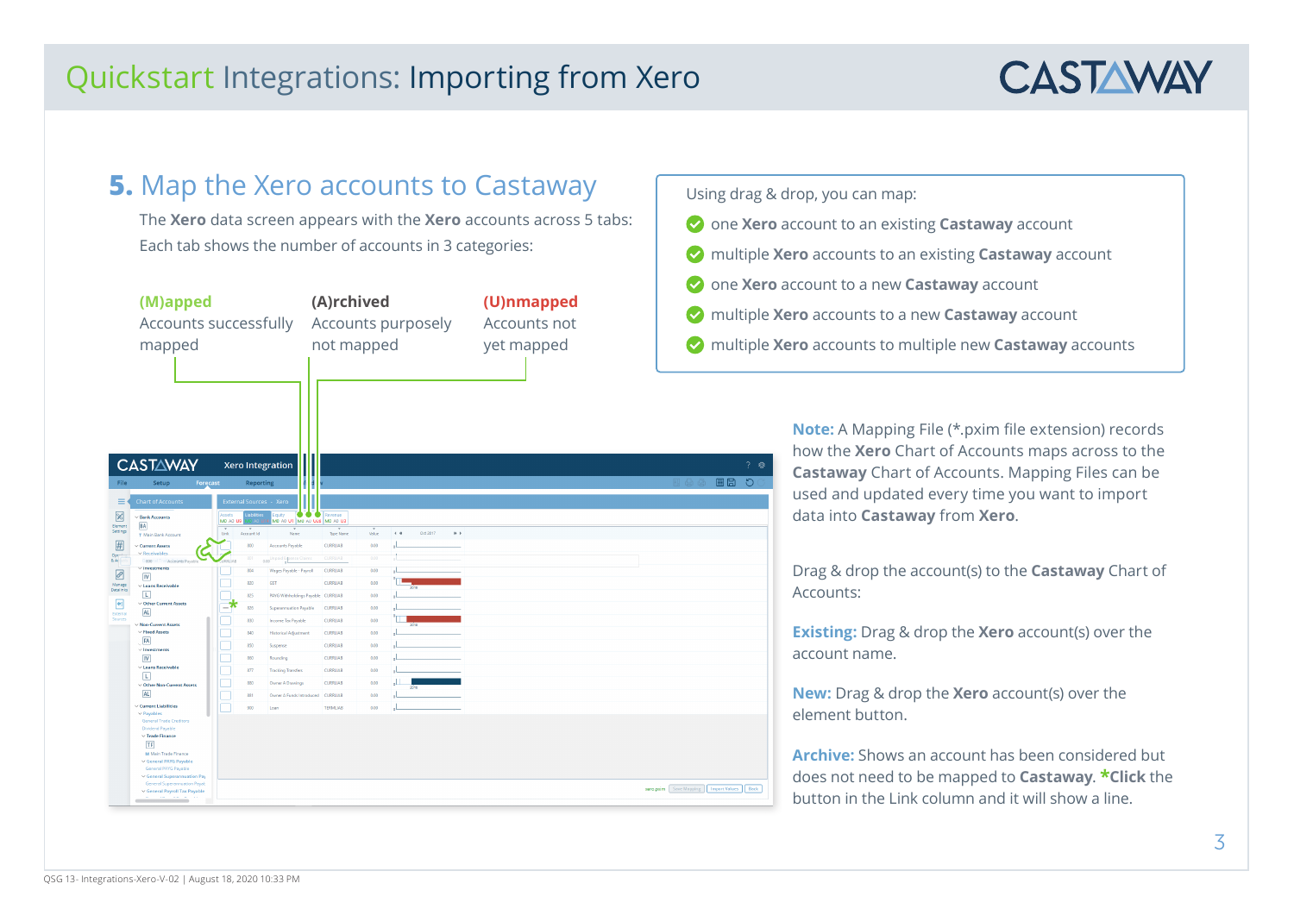

## **5.** Map the Xero accounts to Castaway

The **Xero** data screen appears with the **Xero** accounts across 5 tabs: Each tab shows the number of accounts in 3 categories:

|                            | (M)apped<br>Accounts successfully<br>mapped                                                                                                                                                                              |                    |                         |                                                 | (A)rchived<br>not mapped |       |                 | Accounts purposely |                     | (U)nmapped<br>Accounts not<br>yet mapped |                                               | multiple<br>multiple           |
|----------------------------|--------------------------------------------------------------------------------------------------------------------------------------------------------------------------------------------------------------------------|--------------------|-------------------------|-------------------------------------------------|--------------------------|-------|-----------------|--------------------|---------------------|------------------------------------------|-----------------------------------------------|--------------------------------|
| File                       | <b>CASTAWAY</b><br>Setup                                                                                                                                                                                                 | Forecast           | Reporting               | <b>Xero Integration</b>                         |                          |       |                 |                    |                     |                                          | 日凸面                                           | $?$ $\otimes$<br>画日<br>$\circ$ |
| Ξ<br>図                     | <b>Chart of Accounts</b><br>$\vee$ Bank Accounts                                                                                                                                                                         | Assets<br>MO AO US | External Sources - Xero | . .<br>auity<br>MO AD UT   MO AD UZB   MO AD US | Revenue                  |       |                 |                    |                     |                                          |                                               |                                |
| Element<br>Settings        | <b>BA</b><br>T Main Bank Account                                                                                                                                                                                         | Unk                | Account Id              | Name                                            | Type Name                | Value | $\leftarrow$ 46 | Oct 2017           | $\gg$ $\rightarrow$ |                                          |                                               |                                |
| <i>田</i>                   | $\vee$ Current Assets                                                                                                                                                                                                    |                    | 800                     | Accounts Payable                                | CURRLIAB                 | 0.00  |                 |                    |                     |                                          |                                               |                                |
| Open<br>8.40               | $\vee$ Receivables<br><b>Stooral Transceptions Payabl</b>                                                                                                                                                                | 881141             |                         | id Espense Claims<br>$0.00^{\circ}$             | <b>CURRLIAB</b>          | 0.00  |                 |                    |                     |                                          |                                               |                                |
| $\overline{\mathscr{O}}$   | $in \sqrt{100}$<br>$\overline{N}$                                                                                                                                                                                        |                    | 804                     | Wages Payable - Payroll                         | CURRLIAB                 | 0.00  |                 |                    |                     |                                          |                                               |                                |
| Manage<br>Datalinks        | $\vee$ Loans Receivable                                                                                                                                                                                                  |                    | 820                     | GST                                             | CURRLIAB                 | 0.00  |                 |                    |                     |                                          |                                               |                                |
|                            | 同<br>∨ Other Current Assets                                                                                                                                                                                              |                    | 825                     | PAYG Withholdings Payable CURRLIAB              |                          | 0.00  |                 |                    |                     |                                          |                                               |                                |
| $\blacksquare$<br>External | AL                                                                                                                                                                                                                       | -7                 | 826                     | Superannuation Payable                          | CURRLIAB                 | 0.00  |                 |                    |                     |                                          |                                               |                                |
| Sources                    | Mon-Current Assets                                                                                                                                                                                                       |                    | 830                     | Income Tax Payable                              | CURRLIAB                 | 0.00  |                 |                    |                     |                                          |                                               |                                |
|                            | $\vee$ Fixed Assets<br>FA                                                                                                                                                                                                |                    | 840                     | <b>Historical Adjustment</b>                    | <b>CURRLIAB</b>          | 0.00  |                 |                    |                     |                                          |                                               |                                |
|                            | $\vee$ Investments                                                                                                                                                                                                       |                    | 850                     | Suspense                                        | CURRLIAB                 | 0.00  |                 |                    |                     |                                          |                                               |                                |
|                            | $\overline{N}$                                                                                                                                                                                                           |                    | 860                     | Rounding                                        | CURRLIAB                 | 0.00  |                 |                    |                     |                                          |                                               |                                |
|                            | $\vee$ Loans Receivable<br><b>I</b>                                                                                                                                                                                      |                    | 877                     | <b>Tracking Transfers</b>                       | <b>CURRLIAB</b>          | 0.00  |                 |                    |                     |                                          |                                               |                                |
|                            | $\vee$ Other Non-Current Assets                                                                                                                                                                                          |                    | 880                     | Owner A Drawings                                | CURRILAR                 | 0.00  |                 |                    |                     |                                          |                                               |                                |
|                            | AL                                                                                                                                                                                                                       |                    | 881                     | Owner A Funds Introduced  CURRLIAB              |                          | 0.00  |                 |                    |                     |                                          |                                               |                                |
|                            | $\vee$ Current Liabilities<br>$\vee$ Payables                                                                                                                                                                            |                    | 900                     | Loan                                            | <b>TERMILIAB</b>         | 0.00  |                 |                    |                     |                                          |                                               |                                |
|                            | General Trade Creditors<br>Dividend Payable<br>$\vee$ Trade Finance<br>TF<br>M Main Trade Finance<br>v General PAYG Payable<br>General PAYG Payable<br>$\vee$ General Superannuation Pay<br>General Superannuation Payab |                    |                         |                                                 |                          |       |                 |                    |                     |                                          |                                               |                                |
|                            | v General Payroll Tax Payable                                                                                                                                                                                            |                    |                         |                                                 |                          |       |                 |                    |                     |                                          | xero.pxim Save Mapping   Import Values   Back |                                |

Using drag & drop, you can map:

- one **Xero** account to an existing **Castaway** account
- multiple **Xero** accounts to an existing **Castaway** account
- one **Xero** account to a new **Castaway** account
- **Xero** accounts to a new **Castaway** account
- multiple **Xero** accounts to multiple new **Castaway** accounts

**Note:** A Mapping File (\*.pxim file extension) records how the **Xero** Chart of Accounts maps across to the **Castaway** Chart of Accounts. Mapping Files can be used and updated every time you want to import data into **Castaway** from **Xero**.

Drag & drop the account(s) to the **Castaway** Chart of Accounts:

**Existing:** Drag & drop the **Xero** account(s) over the account name.

**New:** Drag & drop the **Xero** account(s) over the element button.

**Archive:** Shows an account has been considered but does not need to be mapped to **Castaway**. **\*Click** the button in the Link column and it will show a line.